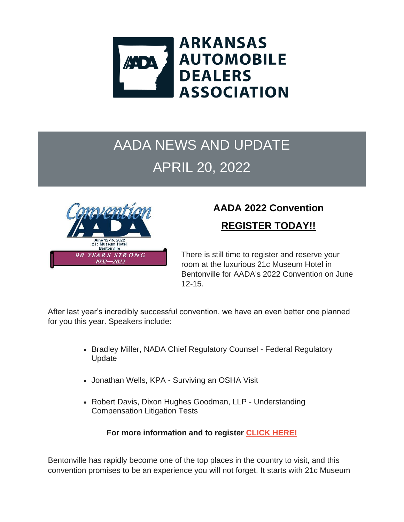

### AADA NEWS AND UPDATE APRIL 20, 2022



## **AADA 2022 Convention**

**REGISTER TODAY!!**

There is still time to register and reserve your room at the luxurious 21c Museum Hotel in Bentonville for AADA's 2022 Convention on June 12-15.

After last year's incredibly successful convention, we have an even better one planned for you this year. Speakers include:

- Bradley Miller, NADA Chief Regulatory Counsel Federal Regulatory Update
- Jonathan Wells, KPA Surviving an OSHA Visit
- Robert Davis, Dixon Hughes Goodman, LLP Understanding Compensation Litigation Tests

**For more information and to register [CLICK HERE!](https://r20.rs6.net/tn.jsp?f=001nS3fkwabvXGdmPMi-QzC4ioNO1Zt80rVCJOlsZgEi4S5tgY_uTkYggwXa9xZ57c4Xh8AKIUzbh_cUx3u4dCXmpCBn8EBy8qO0TvAqRLFDXKpEZkWRNkAlFxoMVmeSF6tnUROxY7lSJQsIhnS9G1O_juk324kqLUl_vygn6R2Ri8awHogn10GpHOb88bLNTE8HLGbyj94z0u8kdqLy0cprWqFKHyaY2F1gJjkCDJzIVk=&c=Mng_A9ySO8w08JxHPoixilRcMqTdMgzalBmZNjAKXc1wKlro5j40xQ==&ch=4eiU7ti9BJ32boV8Nx0iiR_TxomUMoFQCx2x9ugtLGzoAw7Z_P9AYA==)**

Bentonville has rapidly become one of the top places in the country to visit, and this convention promises to be an experience you will not forget. It starts with 21c Museum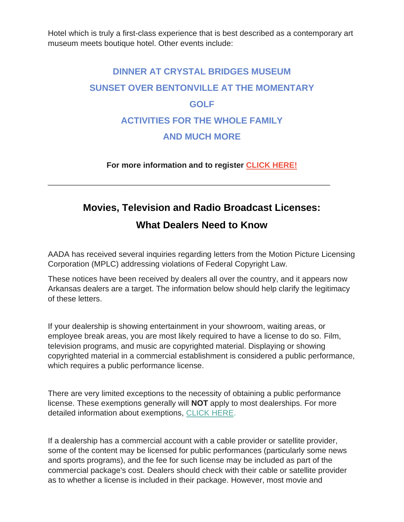Hotel which is truly a first-class experience that is best described as a contemporary art museum meets boutique hotel. Other events include:

### **DINNER AT CRYSTAL BRIDGES MUSEUM SUNSET OVER BENTONVILLE AT THE MOMENTARY GOLF ACTIVITIES FOR THE WHOLE FAMILY AND MUCH MORE**

**For more information and to register [CLICK HERE!](https://r20.rs6.net/tn.jsp?f=001nS3fkwabvXGdmPMi-QzC4ioNO1Zt80rVCJOlsZgEi4S5tgY_uTkYggwXa9xZ57c4Xh8AKIUzbh_cUx3u4dCXmpCBn8EBy8qO0TvAqRLFDXKpEZkWRNkAlFxoMVmeSF6tnUROxY7lSJQsIhnS9G1O_juk324kqLUl_vygn6R2Ri8awHogn10GpHOb88bLNTE8HLGbyj94z0u8kdqLy0cprWqFKHyaY2F1gJjkCDJzIVk=&c=Mng_A9ySO8w08JxHPoixilRcMqTdMgzalBmZNjAKXc1wKlro5j40xQ==&ch=4eiU7ti9BJ32boV8Nx0iiR_TxomUMoFQCx2x9ugtLGzoAw7Z_P9AYA==)**

\_\_\_\_\_\_\_\_\_\_\_\_\_\_\_\_\_\_\_\_\_\_\_\_\_\_\_\_\_\_\_\_\_\_\_\_\_\_\_\_\_\_\_\_\_\_\_\_\_\_\_\_\_\_\_\_\_

# **Movies, Television and Radio Broadcast Licenses:**

#### **What Dealers Need to Know**

AADA has received several inquiries regarding letters from the Motion Picture Licensing Corporation (MPLC) addressing violations of Federal Copyright Law.

These notices have been received by dealers all over the country, and it appears now Arkansas dealers are a target. The information below should help clarify the legitimacy of these letters.

If your dealership is showing entertainment in your showroom, waiting areas, or employee break areas, you are most likely required to have a license to do so. Film, television programs, and music are copyrighted material. Displaying or showing copyrighted material in a commercial establishment is considered a public performance, which requires a public performance license.

There are very limited exceptions to the necessity of obtaining a public performance license. These exemptions generally will **NOT** apply to most dealerships. For more detailed information about exemptions, [CLICK HERE.](https://r20.rs6.net/tn.jsp?f=001_QKPxcnnZuhtaFUa_hWoCrom1I_pw7FLgJUQXCEUT5wHSKLIpLTkcdQxXDOlpTWrLVwKSuiN4E5tC90tb44_FkColuM3k0xU8jb4FQWOMjCfBTIyN5A-OrhkzKAy5GVsfgfE1rOSku_UCwvaMuLzIAtxe-hbEiVLPxb6Lvj6NXGyL7DdKD2fV2cszPEks_47xBTlU38E-ClHaTd_l_Lw9nN5X-QBhOM9_QOYwvkoSJc=&c=PvQtVA93UeH_YDzz0PqImKrui7k6ytxWsA2jYqgNyjmFoPB3GXcMJw==&ch=iC_BRAR5zn54JAtj4nhFacsrj9wPzVOmE2lueZGpJGD1UAhnMo5VWA==)

If a dealership has a commercial account with a cable provider or satellite provider, some of the content may be licensed for public performances (particularly some news and sports programs), and the fee for such license may be included as part of the commercial package's cost. Dealers should check with their cable or satellite provider as to whether a license is included in their package. However, most movie and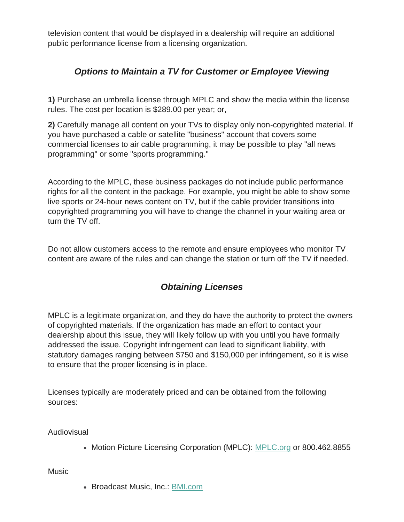television content that would be displayed in a dealership will require an additional public performance license from a licensing organization.

#### *Options to Maintain a TV for Customer or Employee Viewing*

**1)** Purchase an umbrella license through MPLC and show the media within the license rules. The cost per location is \$289.00 per year; or,

**2)** Carefully manage all content on your TVs to display only non-copyrighted material. If you have purchased a cable or satellite "business" account that covers some commercial licenses to air cable programming, it may be possible to play "all news programming" or some "sports programming."

According to the MPLC, these business packages do not include public performance rights for all the content in the package. For example, you might be able to show some live sports or 24-hour news content on TV, but if the cable provider transitions into copyrighted programming you will have to change the channel in your waiting area or turn the TV off.

Do not allow customers access to the remote and ensure employees who monitor TV content are aware of the rules and can change the station or turn off the TV if needed.

#### *Obtaining Licenses*

MPLC is a legitimate organization, and they do have the authority to protect the owners of copyrighted materials. If the organization has made an effort to contact your dealership about this issue, they will likely follow up with you until you have formally addressed the issue. Copyright infringement can lead to significant liability, with statutory damages ranging between \$750 and \$150,000 per infringement, so it is wise to ensure that the proper licensing is in place.

Licenses typically are moderately priced and can be obtained from the following sources:

Audiovisual

• Motion Picture Licensing Corporation (MPLC): [MPLC.org](https://r20.rs6.net/tn.jsp?f=001_QKPxcnnZuhtaFUa_hWoCrom1I_pw7FLgJUQXCEUT5wHSKLIpLTkcdQxXDOlpTWrNxecC3IKvfakxmV7yc4GT30VfuTNOLTqJsOJBALkawn881yn_zcWpU7eJl9nGeoN323Pb2HoQFc=&c=PvQtVA93UeH_YDzz0PqImKrui7k6ytxWsA2jYqgNyjmFoPB3GXcMJw==&ch=iC_BRAR5zn54JAtj4nhFacsrj9wPzVOmE2lueZGpJGD1UAhnMo5VWA==) or 800.462.8855

Music

• Broadcast Music, Inc.: [BMI.com](https://r20.rs6.net/tn.jsp?f=001_QKPxcnnZuhtaFUa_hWoCrom1I_pw7FLgJUQXCEUT5wHSKLIpLTkcdQxXDOlpTWrR54CULZGK77X6jGsZq4bn6hq9PaZKCWvuNZDQFYomxXTAHvc2EyPuUvDdplpiYG6seOfTD6WBYM=&c=PvQtVA93UeH_YDzz0PqImKrui7k6ytxWsA2jYqgNyjmFoPB3GXcMJw==&ch=iC_BRAR5zn54JAtj4nhFacsrj9wPzVOmE2lueZGpJGD1UAhnMo5VWA==)